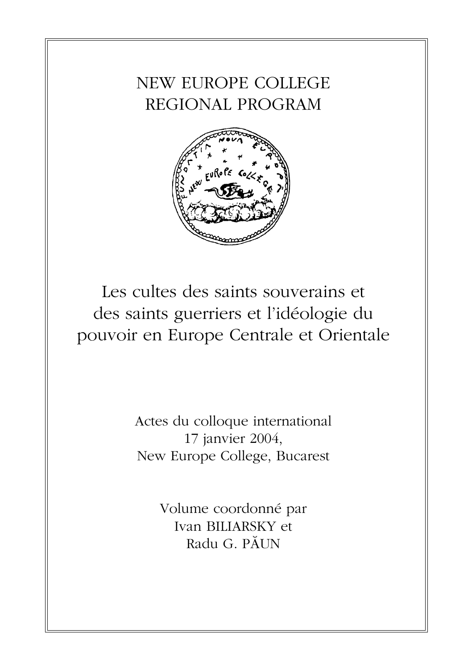## NEW EUROPE COLLEGE REGIONAL PROGRAM



Les cultes des saints souverains et des saints guerriers et l'idéologie du pouvoir en Europe Centrale et Orientale

> Actes du colloque international 17 janvier 2004, New Europe College, Bucarest

> > Volume coordonné par Ivan BILIARSKY et Radu G. PÃUN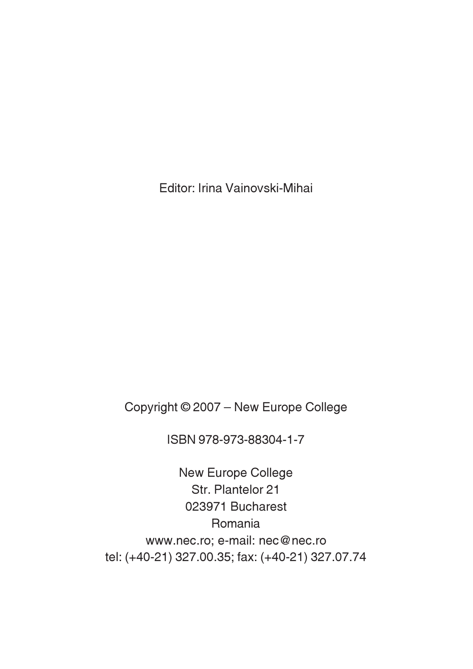Editor: Irina Vainovski-Mihai

Copyright © 2007 – New Europe College

ISBN 978-973-88304-1-7

New Europe College Str. Plantelor 21 023971 Bucharest Romania www.nec.ro; e-mail: nec@nec.ro tel: (+40-21) 327.00.35; fax: (+40-21) 327.07.74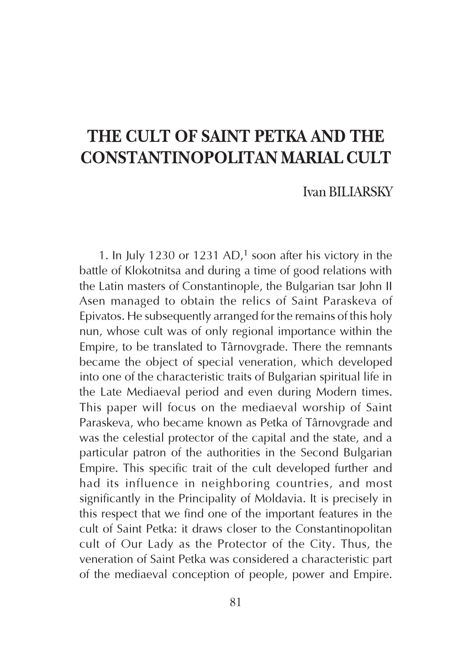## THE CULT OF SAINT PETKA AND THE CONSTANTINOPOLITAN MARIAL CULT

Ivan BILIARSKY

1. In July 1230 or 1231 AD,<sup>1</sup> soon after his victory in the battle of Klokotnitsa and during a time of good relations with the Latin masters of Constantinople, the Bulgarian tsar John II Asen managed to obtain the relics of Saint Paraskeva of Epivatos. He subsequently arranged for the remains of this holy nun, whose cult was of only regional importance within the Empire, to be translated to Târnovgrade. There the remnants became the object of special veneration, which developed into one of the characteristic traits of Bulgarian spiritual life in the Late Mediaeval period and even during Modern times. This paper will focus on the mediaeval worship of Saint Paraskeva, who became known as Petka of Târnovgrade and was the celestial protector of the capital and the state, and a particular patron of the authorities in the Second Bulgarian Empire. This specific trait of the cult developed further and had its influence in neighboring countries, and most significantly in the Principality of Moldavia. It is precisely in this respect that we find one of the important features in the cult of Saint Petka: it draws closer to the Constantinopolitan cult of Our Lady as the Protector of the City. Thus, the veneration of Saint Petka was considered a characteristic part of the mediaeval conception of people, power and Empire.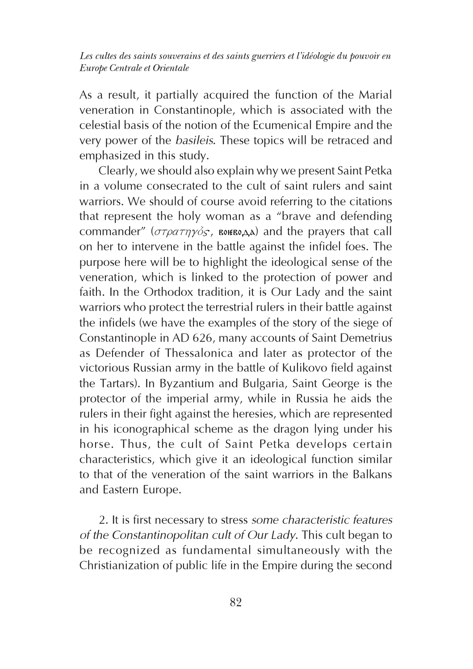As a result, it partially acquired the function of the Marial veneration in Constantinople, which is associated with the celestial basis of the notion of the Ecumenical Empire and the very power of the basileis. These topics will be retraced and emphasized in this study.

Clearly, we should also explain why we present Saint Petka in a volume consecrated to the cult of saint rulers and saint warriors. We should of course avoid referring to the citations that represent the holy woman as a "brave and defending commander" ( $\sigma\tau\rho\alpha\tau\eta\gamma\delta s$ , **EDERGOVERGY**) and the prayers that call on her to intervene in the battle against the infidel foes. The purpose here will be to highlight the ideological sense of the veneration, which is linked to the protection of power and faith. In the Orthodox tradition, it is Our Lady and the saint warriors who protect the terrestrial rulers in their battle against the infidels (we have the examples of the story of the siege of Constantinople in AD 626, many accounts of Saint Demetrius as Defender of Thessalonica and later as protector of the victorious Russian army in the battle of Kulikovo field against the Tartars). In Byzantium and Bulgaria, Saint George is the protector of the imperial army, while in Russia he aids the rulers in their fight against the heresies, which are represented in his iconographical scheme as the dragon lying under his horse. Thus, the cult of Saint Petka develops certain characteristics, which give it an ideological function similar to that of the veneration of the saint warriors in the Balkans and Eastern Europe.

2. It is first necessary to stress some characteristic features of the Constantinopolitan cult of Our Lady. This cult began to be recognized as fundamental simultaneously with the Christianization of public life in the Empire during the second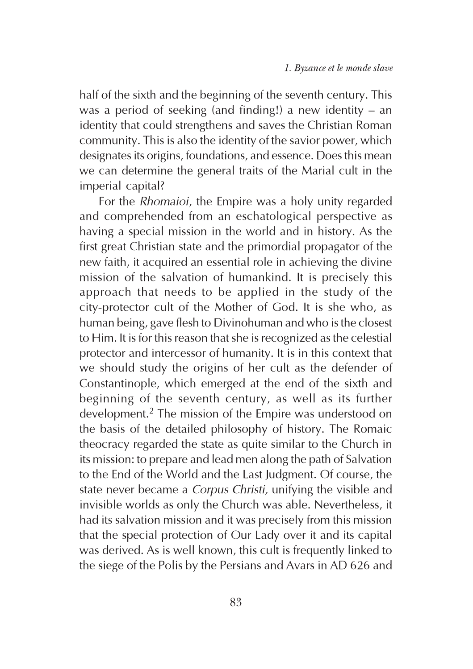half of the sixth and the beginning of the seventh century. This was a period of seeking (and finding!) a new identity – an identity that could strengthens and saves the Christian Roman community. This is also the identity of the savior power, which designates its origins, foundations, and essence. Does this mean we can determine the general traits of the Marial cult in the imperial capital?

For the Rhomaioi, the Empire was a holy unity regarded and comprehended from an eschatological perspective as having a special mission in the world and in history. As the first great Christian state and the primordial propagator of the new faith, it acquired an essential role in achieving the divine mission of the salvation of humankind. It is precisely this approach that needs to be applied in the study of the city-protector cult of the Mother of God. It is she who, as human being, gave flesh to Divinohuman and who is the closest to Him. It is for this reason that she is recognized as the celestial protector and intercessor of humanity. It is in this context that we should study the origins of her cult as the defender of Constantinople, which emerged at the end of the sixth and beginning of the seventh century, as well as its further development.2 The mission of the Empire was understood on the basis of the detailed philosophy of history. The Romaic theocracy regarded the state as quite similar to the Church in its mission: to prepare and lead men along the path of Salvation to the End of the World and the Last Judgment. Of course, the state never became a Corpus Christi, unifying the visible and invisible worlds as only the Church was able. Nevertheless, it had its salvation mission and it was precisely from this mission that the special protection of Our Lady over it and its capital was derived. As is well known, this cult is frequently linked to the siege of the Polis by the Persians and Avars in AD 626 and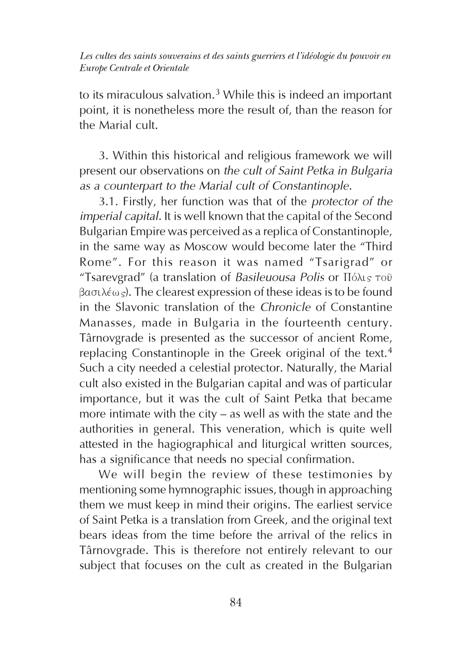to its miraculous salvation.<sup>3</sup> While this is indeed an important point, it is nonetheless more the result of, than the reason for the Marial cult.

3. Within this historical and religious framework we will present our observations on the cult of Saint Petka in Bulgaria as a counterpart to the Marial cult of Constantinople.

3.1. Firstly, her function was that of the protector of the imperial capital. It is well known that the capital of the Second Bulgarian Empire was perceived as a replica of Constantinople, in the same way as Moscow would become later the "Third Rome". For this reason it was named "Tsarigrad" or 3. Within this historical and religious framework we will present our observations on *the cult of Saint Petka in Bulgaria* as a counterpart to the Marial cult of Constantinople.<br>3.1. Firstly, her function was that of the  $\beta$ aσιλέως). The clearest expression of these ideas is to be found in the Slavonic translation of the Chronicle of Constantine Manasses, made in Bulgaria in the fourteenth century. Târnovgrade is presented as the successor of ancient Rome, replacing Constantinople in the Greek original of the text.<sup>4</sup> Such a city needed a celestial protector. Naturally, the Marial cult also existed in the Bulgarian capital and was of particular importance, but it was the cult of Saint Petka that became more intimate with the city – as well as with the state and the authorities in general. This veneration, which is quite well attested in the hagiographical and liturgical written sources, has a significance that needs no special confirmation.

We will begin the review of these testimonies by mentioning some hymnographic issues, though in approaching them we must keep in mind their origins. The earliest service of Saint Petka is a translation from Greek, and the original text bears ideas from the time before the arrival of the relics in Târnovgrade. This is therefore not entirely relevant to our subject that focuses on the cult as created in the Bulgarian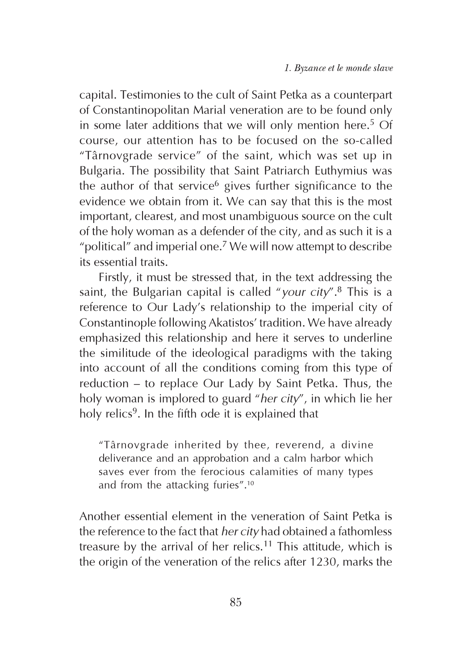capital. Testimonies to the cult of Saint Petka as a counterpart of Constantinopolitan Marial veneration are to be found only in some later additions that we will only mention here.<sup>5</sup> Of course, our attention has to be focused on the so-called "Târnovgrade service" of the saint, which was set up in Bulgaria. The possibility that Saint Patriarch Euthymius was the author of that service<sup>6</sup> gives further significance to the evidence we obtain from it. We can say that this is the most important, clearest, and most unambiguous source on the cult of the holy woman as a defender of the city, and as such it is a "political" and imperial one.7 We will now attempt to describe its essential traits.

Firstly, it must be stressed that, in the text addressing the saint, the Bulgarian capital is called "your city".<sup>8</sup> This is a reference to Our Lady's relationship to the imperial city of Constantinople following Akatistos' tradition. We have already emphasized this relationship and here it serves to underline the similitude of the ideological paradigms with the taking into account of all the conditions coming from this type of reduction – to replace Our Lady by Saint Petka. Thus, the holy woman is implored to guard "her city", in which lie her holy relics<sup>9</sup>. In the fifth ode it is explained that

"Târnovgrade inherited by thee, reverend, a divine deliverance and an approbation and a calm harbor which saves ever from the ferocious calamities of many types and from the attacking furies".<sup>10</sup>

Another essential element in the veneration of Saint Petka is the reference to the fact that her city had obtained a fathomless treasure by the arrival of her relics.<sup>11</sup> This attitude, which is the origin of the veneration of the relics after 1230, marks the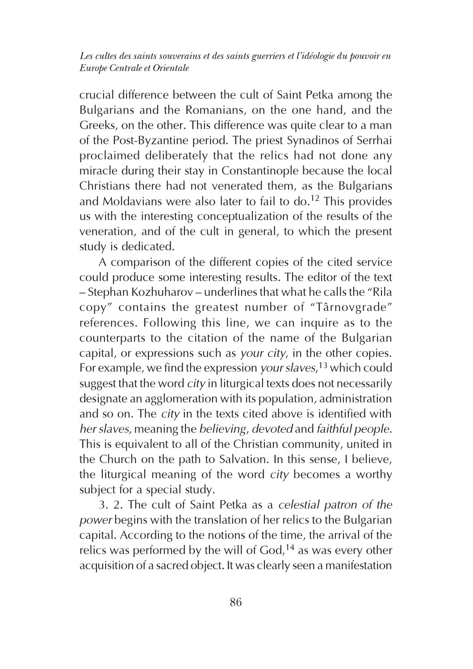crucial difference between the cult of Saint Petka among the Bulgarians and the Romanians, on the one hand, and the Greeks, on the other. This difference was quite clear to a man of the Post-Byzantine period. The priest Synadinos of Serrhai proclaimed deliberately that the relics had not done any miracle during their stay in Constantinople because the local Christians there had not venerated them, as the Bulgarians and Moldavians were also later to fail to  $do.<sup>12</sup>$  This provides us with the interesting conceptualization of the results of the veneration, and of the cult in general, to which the present study is dedicated.

A comparison of the different copies of the cited service could produce some interesting results. The editor of the text – Stephan Kozhuharov – underlines that what he calls the "Rila copy" contains the greatest number of "Târnovgrade" references. Following this line, we can inquire as to the counterparts to the citation of the name of the Bulgarian capital, or expressions such as your city, in the other copies. For example, we find the expression your slaves,<sup>13</sup> which could suggest that the word *city* in liturgical texts does not necessarily designate an agglomeration with its population, administration and so on. The city in the texts cited above is identified with her slaves, meaning the believing, devoted and faithful people. This is equivalent to all of the Christian community, united in the Church on the path to Salvation. In this sense, I believe, the liturgical meaning of the word city becomes a worthy subject for a special study.

3. 2. The cult of Saint Petka as a celestial patron of the power begins with the translation of her relics to the Bulgarian capital. According to the notions of the time, the arrival of the relics was performed by the will of  $God<sub>1</sub><sup>14</sup>$  as was every other acquisition of a sacred object. It was clearly seen a manifestation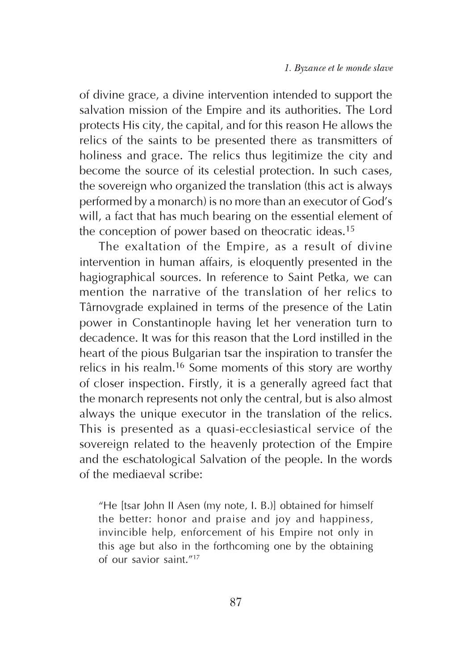of divine grace, a divine intervention intended to support the salvation mission of the Empire and its authorities. The Lord protects His city, the capital, and for this reason He allows the relics of the saints to be presented there as transmitters of holiness and grace. The relics thus legitimize the city and become the source of its celestial protection. In such cases, the sovereign who organized the translation (this act is always performed by a monarch) is no more than an executor of God's will, a fact that has much bearing on the essential element of the conception of power based on theocratic ideas.<sup>15</sup>

The exaltation of the Empire, as a result of divine intervention in human affairs, is eloquently presented in the hagiographical sources. In reference to Saint Petka, we can mention the narrative of the translation of her relics to Târnovgrade explained in terms of the presence of the Latin power in Constantinople having let her veneration turn to decadence. It was for this reason that the Lord instilled in the heart of the pious Bulgarian tsar the inspiration to transfer the relics in his realm.16 Some moments of this story are worthy of closer inspection. Firstly, it is a generally agreed fact that the monarch represents not only the central, but is also almost always the unique executor in the translation of the relics. This is presented as a quasi-ecclesiastical service of the sovereign related to the heavenly protection of the Empire and the eschatological Salvation of the people. In the words of the mediaeval scribe:

"He [tsar John II Asen (my note, I. B.)] obtained for himself the better: honor and praise and joy and happiness, invincible help, enforcement of his Empire not only in this age but also in the forthcoming one by the obtaining of our savior saint."<sup>17</sup>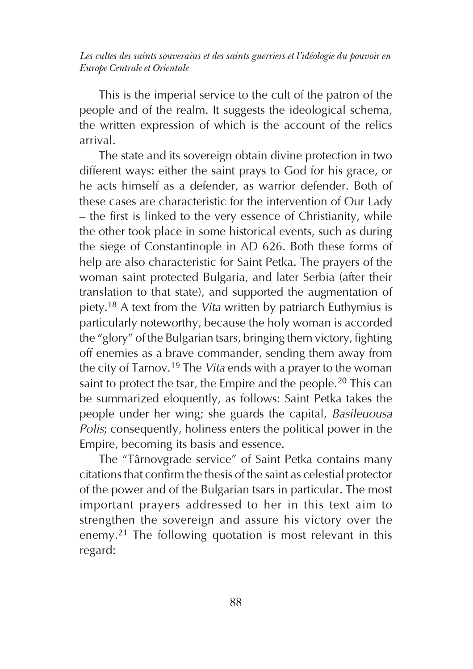This is the imperial service to the cult of the patron of the people and of the realm. It suggests the ideological schema, the written expression of which is the account of the relics arrival.

The state and its sovereign obtain divine protection in two different ways: either the saint prays to God for his grace, or he acts himself as a defender, as warrior defender. Both of these cases are characteristic for the intervention of Our Lady – the first is linked to the very essence of Christianity, while the other took place in some historical events, such as during the siege of Constantinople in AD 626. Both these forms of help are also characteristic for Saint Petka. The prayers of the woman saint protected Bulgaria, and later Serbia (after their translation to that state), and supported the augmentation of piety.18 A text from the Vita written by patriarch Euthymius is particularly noteworthy, because the holy woman is accorded the "glory" of the Bulgarian tsars, bringing them victory, fighting off enemies as a brave commander, sending them away from the city of Tarnov.<sup>19</sup> The *Vita* ends with a prayer to the woman saint to protect the tsar, the Empire and the people.<sup>20</sup> This can be summarized eloquently, as follows: Saint Petka takes the people under her wing; she guards the capital, Basileuousa Polis; consequently, holiness enters the political power in the Empire, becoming its basis and essence.

The "Târnovgrade service" of Saint Petka contains many citations that confirm the thesis of the saint as celestial protector of the power and of the Bulgarian tsars in particular. The most important prayers addressed to her in this text aim to strengthen the sovereign and assure his victory over the enemy.21 The following quotation is most relevant in this regard: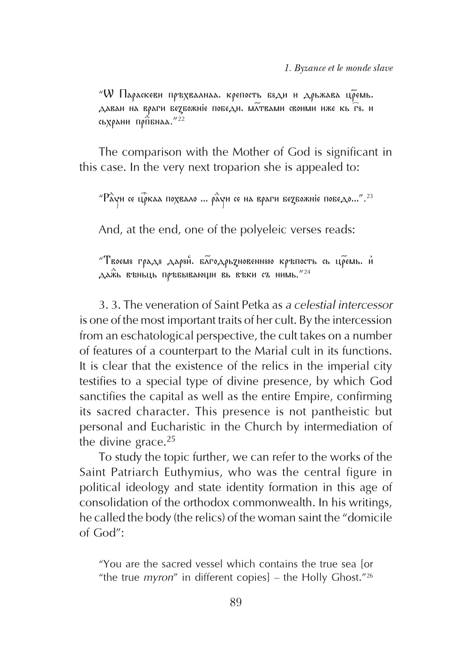$W$  Параскеви пръхвалнаа. крепость бъди и дрьжава цремь. даваи на враги бедбожніе победи. Матвами своими иже кь гъ. и сьхрани пр $\hat{\Pi}$ бнаа."<sup>22</sup>

The comparison with the Mother of God is significant in this case. In the very next troparion she is appealed to:

 $P$ àуи се ц $\tilde{\rho}$ каа похвало ...  $\rho$ а̀уи се на враги бе $z$ божніе победо...".<sup>23</sup>

And, at the end, one of the polyeleic verses reads:

 $"$ Твоємя градя даряй. багодрьдновенняю кръпость сь цремь. и  $A^{\hat{\alpha}}$ ь въньць пръвывающи вь въки съ нимь.  $^{\prime\prime}24$ 

3. 3. The veneration of Saint Petka as a celestial intercessor is one of the most important traits of her cult. By the intercession from an eschatological perspective, the cult takes on a number of features of a counterpart to the Marial cult in its functions. It is clear that the existence of the relics in the imperial city testifies to a special type of divine presence, by which God sanctifies the capital as well as the entire Empire, confirming its sacred character. This presence is not pantheistic but personal and Eucharistic in the Church by intermediation of the divine grace. $25$ 

To study the topic further, we can refer to the works of the Saint Patriarch Euthymius, who was the central figure in political ideology and state identity formation in this age of consolidation of the orthodox commonwealth. In his writings, he called the body (the relics) of the woman saint the "domicile of God":

"You are the sacred vessel which contains the true sea [or "the true *myron*" in different copies] – the Holly Ghost."<sup>26</sup>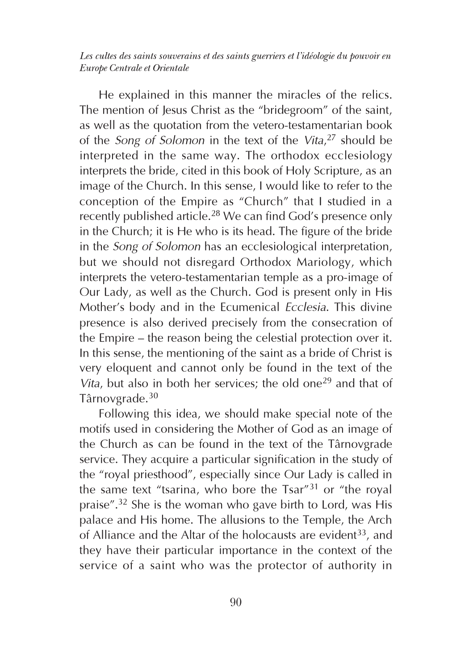He explained in this manner the miracles of the relics. The mention of Jesus Christ as the "bridegroom" of the saint, as well as the quotation from the vetero-testamentarian book of the Song of Solomon in the text of the Vita,<sup>27</sup> should be interpreted in the same way. The orthodox ecclesiology interprets the bride, cited in this book of Holy Scripture, as an image of the Church. In this sense, I would like to refer to the conception of the Empire as "Church" that I studied in a recently published article.<sup>28</sup> We can find God's presence only in the Church; it is He who is its head. The figure of the bride in the Song of Solomon has an ecclesiological interpretation, but we should not disregard Orthodox Mariology, which interprets the vetero-testamentarian temple as a pro-image of Our Lady, as well as the Church. God is present only in His Mother's body and in the Ecumenical Ecclesia. This divine presence is also derived precisely from the consecration of the Empire – the reason being the celestial protection over it. In this sense, the mentioning of the saint as a bride of Christ is very eloquent and cannot only be found in the text of the Vita, but also in both her services; the old one<sup>29</sup> and that of Târnovgrade.<sup>30</sup>

Following this idea, we should make special note of the motifs used in considering the Mother of God as an image of the Church as can be found in the text of the Târnovgrade service. They acquire a particular signification in the study of the "royal priesthood", especially since Our Lady is called in the same text "tsarina, who bore the Tsar"31 or "the royal praise".32 She is the woman who gave birth to Lord, was His palace and His home. The allusions to the Temple, the Arch of Alliance and the Altar of the holocausts are evident<sup>33</sup>, and they have their particular importance in the context of the service of a saint who was the protector of authority in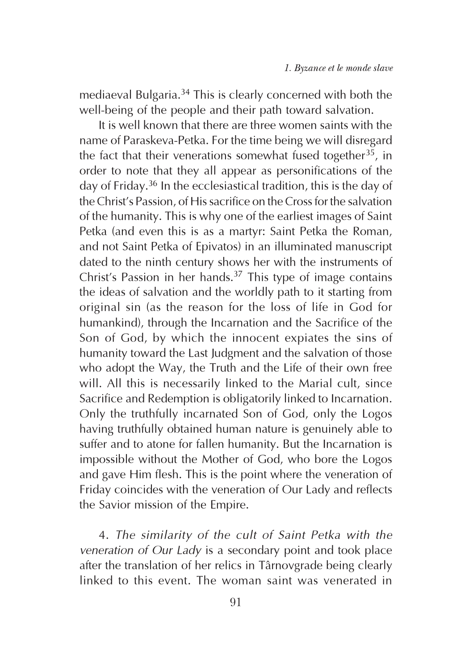mediaeval Bulgaria.34 This is clearly concerned with both the well-being of the people and their path toward salvation.

It is well known that there are three women saints with the name of Paraskeva-Petka. For the time being we will disregard the fact that their venerations somewhat fused together<sup>35</sup>, in order to note that they all appear as personifications of the day of Friday.36 In the ecclesiastical tradition, this is the day of the Christ's Passion, of His sacrifice on the Cross for the salvation of the humanity. This is why one of the earliest images of Saint Petka (and even this is as a martyr: Saint Petka the Roman, and not Saint Petka of Epivatos) in an illuminated manuscript dated to the ninth century shows her with the instruments of Christ's Passion in her hands. $37$  This type of image contains the ideas of salvation and the worldly path to it starting from original sin (as the reason for the loss of life in God for humankind), through the Incarnation and the Sacrifice of the Son of God, by which the innocent expiates the sins of humanity toward the Last Judgment and the salvation of those who adopt the Way, the Truth and the Life of their own free will. All this is necessarily linked to the Marial cult, since Sacrifice and Redemption is obligatorily linked to Incarnation. Only the truthfully incarnated Son of God, only the Logos having truthfully obtained human nature is genuinely able to suffer and to atone for fallen humanity. But the Incarnation is impossible without the Mother of God, who bore the Logos and gave Him flesh. This is the point where the veneration of Friday coincides with the veneration of Our Lady and reflects the Savior mission of the Empire.

4. The similarity of the cult of Saint Petka with the veneration of Our Lady is a secondary point and took place after the translation of her relics in Târnovgrade being clearly linked to this event. The woman saint was venerated in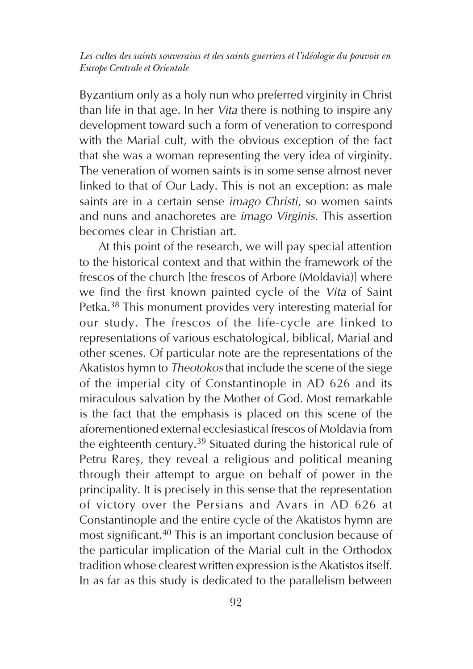Byzantium only as a holy nun who preferred virginity in Christ than life in that age. In her Vita there is nothing to inspire any development toward such a form of veneration to correspond with the Marial cult, with the obvious exception of the fact that she was a woman representing the very idea of virginity. The veneration of women saints is in some sense almost never linked to that of Our Lady. This is not an exception: as male saints are in a certain sense *imago Christi*, so women saints and nuns and anachoretes are imago Virginis. This assertion becomes clear in Christian art.

At this point of the research, we will pay special attention to the historical context and that within the framework of the frescos of the church [the frescos of Arbore (Moldavia)] where we find the first known painted cycle of the Vita of Saint Petka.<sup>38</sup> This monument provides very interesting material for our study. The frescos of the life-cycle are linked to representations of various eschatological, biblical, Marial and other scenes. Of particular note are the representations of the Akatistos hymn to Theotokos that include the scene of the siege of the imperial city of Constantinople in AD 626 and its miraculous salvation by the Mother of God. Most remarkable is the fact that the emphasis is placed on this scene of the aforementioned external ecclesiastical frescos of Moldavia from the eighteenth century.<sup>39</sup> Situated during the historical rule of Petru Rares, they reveal a religious and political meaning through their attempt to argue on behalf of power in the principality. It is precisely in this sense that the representation of victory over the Persians and Avars in AD 626 at Constantinople and the entire cycle of the Akatistos hymn are most significant.40 This is an important conclusion because of the particular implication of the Marial cult in the Orthodox tradition whose clearest written expression is the Akatistos itself. In as far as this study is dedicated to the parallelism between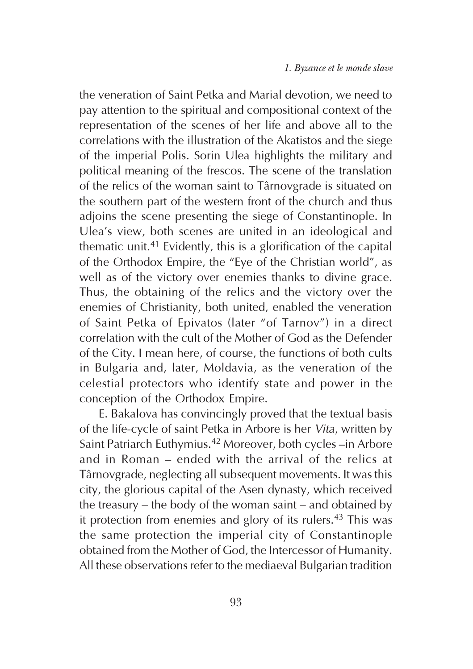the veneration of Saint Petka and Marial devotion, we need to pay attention to the spiritual and compositional context of the representation of the scenes of her life and above all to the correlations with the illustration of the Akatistos and the siege of the imperial Polis. Sorin Ulea highlights the military and political meaning of the frescos. The scene of the translation of the relics of the woman saint to Târnovgrade is situated on the southern part of the western front of the church and thus adjoins the scene presenting the siege of Constantinople. In Ulea's view, both scenes are united in an ideological and thematic unit.41 Evidently, this is a glorification of the capital of the Orthodox Empire, the "Eye of the Christian world", as well as of the victory over enemies thanks to divine grace. Thus, the obtaining of the relics and the victory over the enemies of Christianity, both united, enabled the veneration of Saint Petka of Epivatos (later "of Tarnov") in a direct correlation with the cult of the Mother of God as the Defender of the City. I mean here, of course, the functions of both cults in Bulgaria and, later, Moldavia, as the veneration of the celestial protectors who identify state and power in the conception of the Orthodox Empire.

E. Bakalova has convincingly proved that the textual basis of the life-cycle of saint Petka in Arbore is her Vita, written by Saint Patriarch Euthymius.42 Moreover, both cycles –in Arbore and in Roman – ended with the arrival of the relics at Târnovgrade, neglecting all subsequent movements. It was this city, the glorious capital of the Asen dynasty, which received the treasury – the body of the woman saint – and obtained by it protection from enemies and glory of its rulers.<sup>43</sup> This was the same protection the imperial city of Constantinople obtained from the Mother of God, the Intercessor of Humanity. All these observations refer to the mediaeval Bulgarian tradition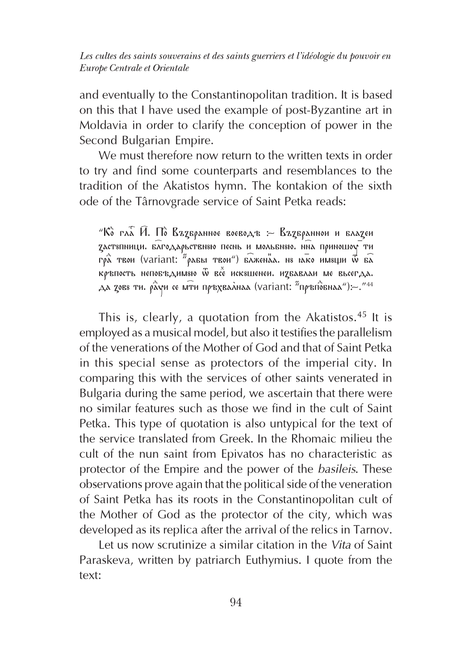and eventually to the Constantinopolitan tradition. It is based on this that I have used the example of post-Byzantine art in Moldavia in order to clarify the conception of power in the Second Bulgarian Empire.

We must therefore now return to the written texts in order to try and find some counterparts and resemblances to the tradition of the Akatistos hymn. The kontakion of the sixth ode of the Târnovgrade service of Saint Petka reads:

" $\hat{K}$  гла  $\hat{H}$ . По Върбранное воеводъ : Върбраннои и блареи  $Z$ аст $s$ пници. б $\widehat{\lambda}$ годарьствн $s$ ю песнь и мольбн $s$ ю. нна приношоу ти гра̀ твои (variant: "рабы твои") блженаа. не нако имеции  $\widehat{\vec{w}}$  ба  $\overline{\hat{h}}$ ръпость непобъдимяю  $\overline{\hat{w}}$  все исквшенеи. избавлаи ме вьсегда.  $\Delta$  χοεε τη. ρ $\alpha$ γή σε μ $\bar{\tau}$ ή πρ $\bar{\tau}$ χελλήλα (variant: "πρ $\bar{\tau}$ ή $\bar{\sigma}$ бήλα $\Delta$ "):  $\sim$ ."<sup>44</sup>

This is, clearly, a quotation from the Akatistos.<sup>45</sup> It is employed as a musical model, but also it testifies the parallelism of the venerations of the Mother of God and that of Saint Petka in this special sense as protectors of the imperial city. In comparing this with the services of other saints venerated in Bulgaria during the same period, we ascertain that there were no similar features such as those we find in the cult of Saint Petka. This type of quotation is also untypical for the text of the service translated from Greek. In the Rhomaic milieu the cult of the nun saint from Epivatos has no characteristic as protector of the Empire and the power of the basileis. These observations prove again that the political side of the veneration of Saint Petka has its roots in the Constantinopolitan cult of the Mother of God as the protector of the city, which was developed as its replica after the arrival of the relics in Tarnov.

Let us now scrutinize a similar citation in the Vita of Saint Paraskeva, written by patriarch Euthymius. I quote from the text: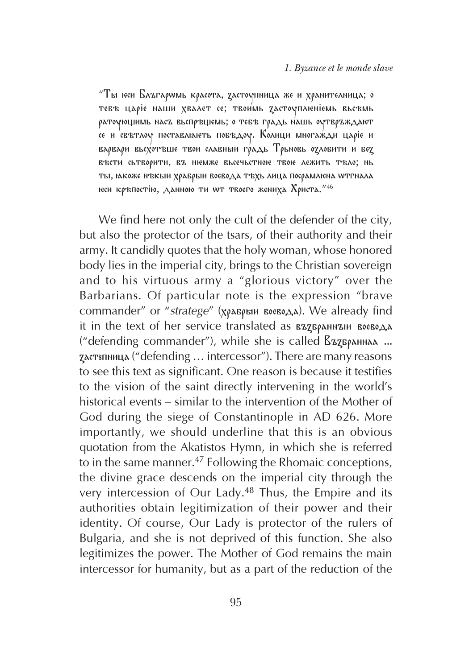"Ты юси Блъгарwмь юрасота, zастоупница же и хранителница; о тебъ царіе наши хвалет се; твоимь дастоуплюніемь вьсъмь  $\rho$ атоующимь нас $\mathrm z$  вьсп $\rho$ ъщемь; о тебъ г $\rho$ адь нашь оутв $\rho$ ъждают се и свътлоу поставлюють побъдоу. Колици многажди царіе и варвари вьсхотъще твои славныи го́адь Трьновь одлобити и бед Въсти сьтворити, въ немже вьсечьстною твою лежить тъло; нь ты, іакоже нъкыи храбрыи воевода тъхь лица посрамлюна wтгнала еси кръпостію, данною ти wт твоего жениха Христа."<sup>46</sup>

We find here not only the cult of the defender of the city, but also the protector of the tsars, of their authority and their army. It candidly quotes that the holy woman, whose honored body lies in the imperial city, brings to the Christian sovereign and to his virtuous army a "glorious victory" over the Barbarians. Of particular note is the expression "brave commander" or "stratege" (храбрын воевода). We already find it in the text of her service translated as *BAZBAANNAIN* BOGBOAA ("defending commander"), while she is called  $g_{\rm ZZ}\bar{g}_{\rm ARH}$  ... çàñòóïíèöà ("defending … intercessor"). There are many reasons to see this text as significant. One reason is because it testifies to the vision of the saint directly intervening in the world's historical events – similar to the intervention of the Mother of God during the siege of Constantinople in AD 626. More importantly, we should underline that this is an obvious quotation from the Akatistos Hymn, in which she is referred to in the same manner.<sup>47</sup> Following the Rhomaic conceptions, the divine grace descends on the imperial city through the very intercession of Our Lady.48 Thus, the Empire and its authorities obtain legitimization of their power and their identity. Of course, Our Lady is protector of the rulers of Bulgaria, and she is not deprived of this function. She also legitimizes the power. The Mother of God remains the main intercessor for humanity, but as a part of the reduction of the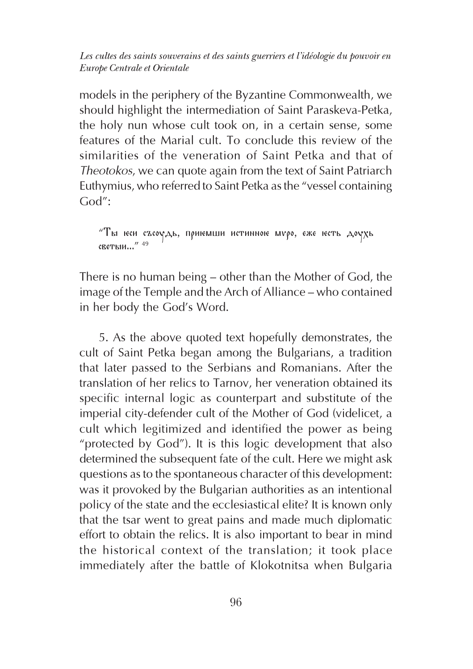models in the periphery of the Byzantine Commonwealth, we should highlight the intermediation of Saint Paraskeva-Petka, the holy nun whose cult took on, in a certain sense, some features of the Marial cult. To conclude this review of the similarities of the veneration of Saint Petka and that of Theotokos, we can quote again from the text of Saint Patriarch Euthymius, who referred to Saint Petka as the "vessel containing God":

 $T$ ы юеи съсоудь, приюмши истинною муро, еже юеть доухь с**кеты**и..."<sup>49</sup>

There is no human being – other than the Mother of God, the image of the Temple and the Arch of Alliance – who contained in her body the God's Word.

5. As the above quoted text hopefully demonstrates, the cult of Saint Petka began among the Bulgarians, a tradition that later passed to the Serbians and Romanians. After the translation of her relics to Tarnov, her veneration obtained its specific internal logic as counterpart and substitute of the imperial city-defender cult of the Mother of God (videlicet, a cult which legitimized and identified the power as being "protected by God"). It is this logic development that also determined the subsequent fate of the cult. Here we might ask questions as to the spontaneous character of this development: was it provoked by the Bulgarian authorities as an intentional policy of the state and the ecclesiastical elite? It is known only that the tsar went to great pains and made much diplomatic effort to obtain the relics. It is also important to bear in mind the historical context of the translation; it took place immediately after the battle of Klokotnitsa when Bulgaria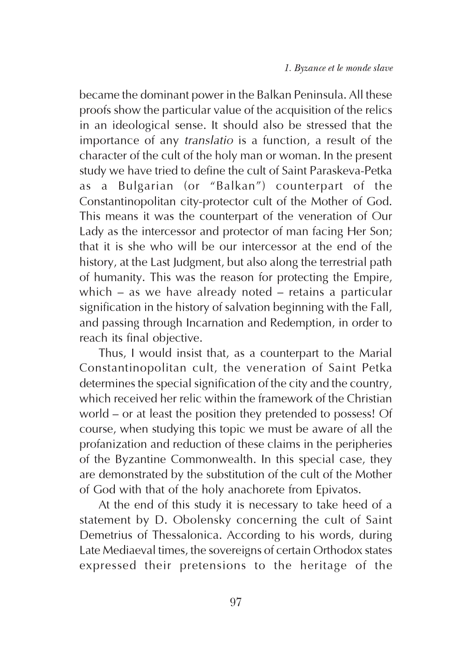became the dominant power in the Balkan Peninsula. All these proofs show the particular value of the acquisition of the relics in an ideological sense. It should also be stressed that the importance of any translatio is a function, a result of the character of the cult of the holy man or woman. In the present study we have tried to define the cult of Saint Paraskeva-Petka as a Bulgarian (or "Balkan") counterpart of the Constantinopolitan city-protector cult of the Mother of God. This means it was the counterpart of the veneration of Our Lady as the intercessor and protector of man facing Her Son; that it is she who will be our intercessor at the end of the history, at the Last Judgment, but also along the terrestrial path of humanity. This was the reason for protecting the Empire, which – as we have already noted – retains a particular signification in the history of salvation beginning with the Fall, and passing through Incarnation and Redemption, in order to reach its final objective.

Thus, I would insist that, as a counterpart to the Marial Constantinopolitan cult, the veneration of Saint Petka determines the special signification of the city and the country, which received her relic within the framework of the Christian world – or at least the position they pretended to possess! Of course, when studying this topic we must be aware of all the profanization and reduction of these claims in the peripheries of the Byzantine Commonwealth. In this special case, they are demonstrated by the substitution of the cult of the Mother of God with that of the holy anachorete from Epivatos.

At the end of this study it is necessary to take heed of a statement by D. Obolensky concerning the cult of Saint Demetrius of Thessalonica. According to his words, during Late Mediaeval times, the sovereigns of certain Orthodox states expressed their pretensions to the heritage of the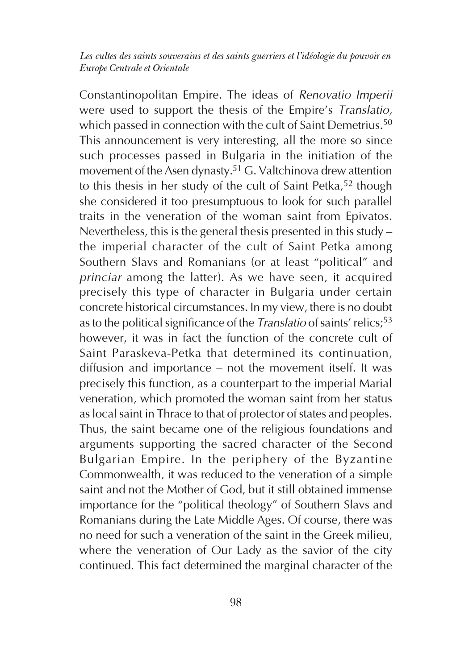Constantinopolitan Empire. The ideas of Renovatio Imperii were used to support the thesis of the Empire's Translatio, which passed in connection with the cult of Saint Demetrius.<sup>50</sup> This announcement is very interesting, all the more so since such processes passed in Bulgaria in the initiation of the movement of the Asen dynasty.51 G. Valtchinova drew attention to this thesis in her study of the cult of Saint Petka,<sup>52</sup> though she considered it too presumptuous to look for such parallel traits in the veneration of the woman saint from Epivatos. Nevertheless, this is the general thesis presented in this study – the imperial character of the cult of Saint Petka among Southern Slavs and Romanians (or at least "political" and princiar among the latter). As we have seen, it acquired precisely this type of character in Bulgaria under certain concrete historical circumstances. In my view, there is no doubt as to the political significance of the *Translatio* of saints' relics;<sup>53</sup> however, it was in fact the function of the concrete cult of Saint Paraskeva-Petka that determined its continuation, diffusion and importance – not the movement itself. It was precisely this function, as a counterpart to the imperial Marial veneration, which promoted the woman saint from her status as local saint in Thrace to that of protector of states and peoples. Thus, the saint became one of the religious foundations and arguments supporting the sacred character of the Second Bulgarian Empire. In the periphery of the Byzantine Commonwealth, it was reduced to the veneration of a simple saint and not the Mother of God, but it still obtained immense importance for the "political theology" of Southern Slavs and Romanians during the Late Middle Ages. Of course, there was no need for such a veneration of the saint in the Greek milieu, where the veneration of Our Lady as the savior of the city continued. This fact determined the marginal character of the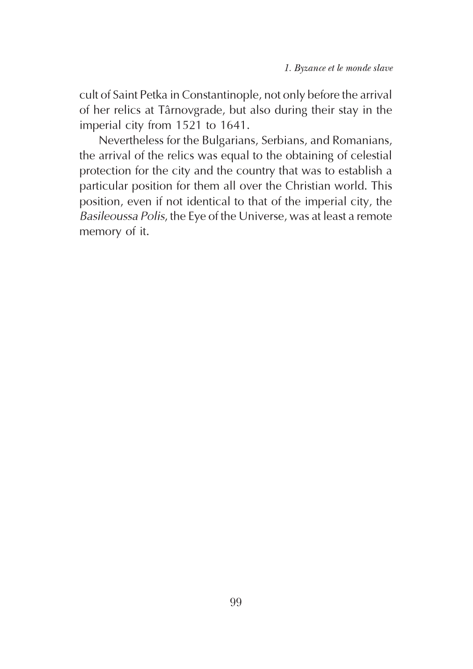cult of Saint Petka in Constantinople, not only before the arrival of her relics at Târnovgrade, but also during their stay in the imperial city from 1521 to 1641.

Nevertheless for the Bulgarians, Serbians, and Romanians, the arrival of the relics was equal to the obtaining of celestial protection for the city and the country that was to establish a particular position for them all over the Christian world. This position, even if not identical to that of the imperial city, the Basileoussa Polis, the Eye of the Universe, was at least a remote memory of it.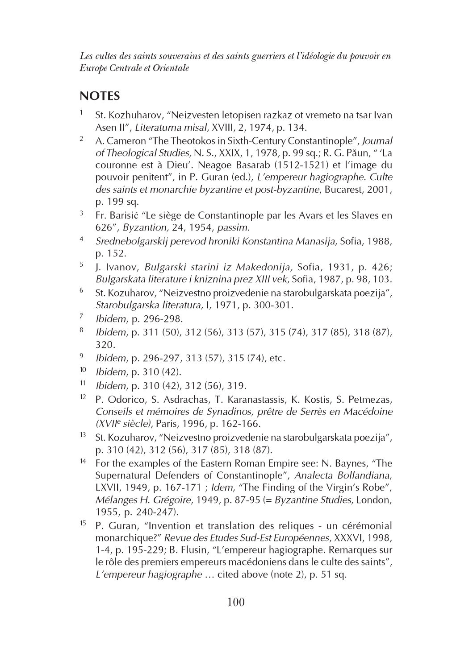## NOTES

- St. Kozhuharov, "Neizvesten letopisen razkaz ot vremeto na tsar Ivan Asen II", Literaturna misal, XVIII, 2, 1974, p. 134.
- <sup>2</sup> A. Cameron "The Theotokos in Sixth-Century Constantinople", Journal of Theological Studies, N. S., XXIX, 1, 1978, p. 99 sq.; R. G. Pãun, " 'La couronne est à Dieu'. Neagoe Basarab (1512-1521) et l'image du pouvoir penitent", in P. Guran (ed.), L'empereur hagiographe. Culte des saints et monarchie byzantine et post-byzantine, Bucarest, 2001, p. 199 sq.
- $3$  Fr. Barisić "Le siège de Constantinople par les Avars et les Slaves en 626", Byzantion, 24, 1954, passim.
- <sup>4</sup> Srednebolgarskij perevod hroniki Konstantina Manasija, Sofia, 1988, p. 152.
- <sup>5</sup> J. Ivanov, Bulgarski starini iz Makedonija, Sofia, 1931, p. 426; Bulgarskata literature i kniznina prez XIII vek, Sofia, 1987, p. 98, 103.
- <sup>6</sup> St. Kozuharov, "Neizvestno proizvedenie na starobulgarskata poezija", Starobulgarska literatura, I, 1971, p. 300-301.
- <sup>7</sup> Ibidem, p. 296-298.
- <sup>8</sup> Ibidem, p. 311 (50), 312 (56), 313 (57), 315 (74), 317 (85), 318 (87), 320.
- <sup>9</sup> Ibidem, p. 296-297, 313 (57), 315 (74), etc.
- $10$  Ibidem, p. 310 (42).
- $11$  Ibidem, p. 310 (42), 312 (56), 319.
- <sup>12</sup> P. Odorico, S. Asdrachas, T. Karanastassis, K. Kostis, S. Petmezas, Conseils et mémoires de Synadinos, prêtre de Serrès en Macédoine (XVII<sup>e</sup> siècle), Paris, 1996, p. 162-166.
- $13$  St. Kozuharov, "Neizvestno proizvedenie na starobulgarskata poezija", p. 310 (42), 312 (56), 317 (85), 318 (87).
- <sup>14</sup> For the examples of the Eastern Roman Empire see: N. Baynes, "The Supernatural Defenders of Constantinople", Analecta Bollandiana, LXVII, 1949, p. 167-171 ; Idem, "The Finding of the Virgin's Robe", Mélanges H. Grégoire, 1949, p. 87-95 (= Byzantine Studies, London, 1955, p. 240-247).
- $15$  P. Guran, "Invention et translation des reliques un cérémonial monarchique?" Revue des Etudes Sud-Est Européennes, XXXVI, 1998, 1-4, p. 195-229; B. Flusin, "L'empereur hagiographe. Remarques sur le rôle des premiers empereurs macédoniens dans le culte des saints", L'empereur hagiographe … cited above (note 2), p. 51 sq.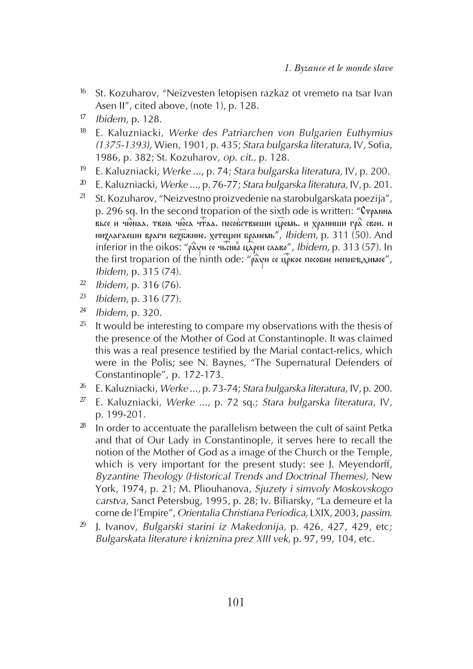- <sup>16</sup> St. Kozuharov, "Neizvesten letopisen razkaz ot vremeto na tsar Ivan Asen II", cited above, (note 1), p. 128.
- $17$  Ibidem, p. 128.
- <sup>18</sup> E. Kaluzniacki, Werke des Patriarchen von Bulgarien Euthymius (1375-1393), Wien, 1901, p. 435; Stara bulgarska literatura, IV, Sofia, 1986, p. 382; St. Kozuharov, op. cit., p. 128.
- <sup>19</sup> E. Kaluzniacki, Werke ..., p. 74; Stara bulgarska literatura, IV, p. 200.
- $20$  E. Kaluzniacki, Werke ..., p. 76-77; Stara bulgarska literatura, IV, p. 201.
- <sup>21</sup> St. Kozuharov, "Neizvestno proizvedenie na starobulgarskata poezija", p. 296 sq. In the second troparion of the sixth ode is written: " $C_{T\varphi\text{AMMA}}$  $\frac{\partial}{\partial \alpha}$ й †рона чиста четаа. пособстввеши ц $\widehat{\rho}$ емь. и храниши гр $\widehat{\tilde{\alpha}}$  свои. и низлагаеши враги безбжние. хотещеи бранемь", Ibidem, p. 311 (50). And inferior in the oikos: " $\rho \tilde{\lambda}$ уи се чьсны цареи славо", Ibidem, p. 313 (57). In the first troparion of the ninth ode: " $\rho \hat{\alpha}$ уи се цр $\tilde{\rho}$ кое посовие неповъдниое", Ibidem, p. 315 (74).
- $2^2$  Ibidem, p. 316 (76).
- $^{23}$  Ibidem, p. 316 (77).
- $24$  Ibidem, p. 320.
- $25$  It would be interesting to compare my observations with the thesis of the presence of the Mother of God at Constantinople. It was claimed this was a real presence testified by the Marial contact-relics, which were in the Polis; see N. Baynes, "The Supernatural Defenders of Constantinople", p. 172-173.
- <sup>26</sup> E. Kaluzniacki, *Werke ..., p.* 73-74; Stara bulgarska literatura, IV, p. 200.
- $2^{\gamma}$  E. Kaluzniacki, Werke ..., p. 72 sq.; Stara bulgarska literatura, IV, p. 199-201.
- $28$  In order to accentuate the parallelism between the cult of saint Petka and that of Our Lady in Constantinople, it serves here to recall the notion of the Mother of God as a image of the Church or the Temple, which is very important for the present study: see J. Meyendorff, Byzantine Theology (Historical Trends and Doctrinal Themes), New York, 1974, p. 21; M. Pliouhanova, Sjuzety i simvoly Moskovskogo carstva, Sanct Petersbug, 1995, p. 28; Iv. Biliarsky, "La demeure et la corne de l'Empire", Orientalia Christiana Periodica, LXIX, 2003, passim.
- $29$  J. Ivanov, Bulgarski starini iz Makedonija, p. 426, 427, 429, etc; Bulgarskata literature i kniznina prez XIII vek, p. 97, 99, 104, etc.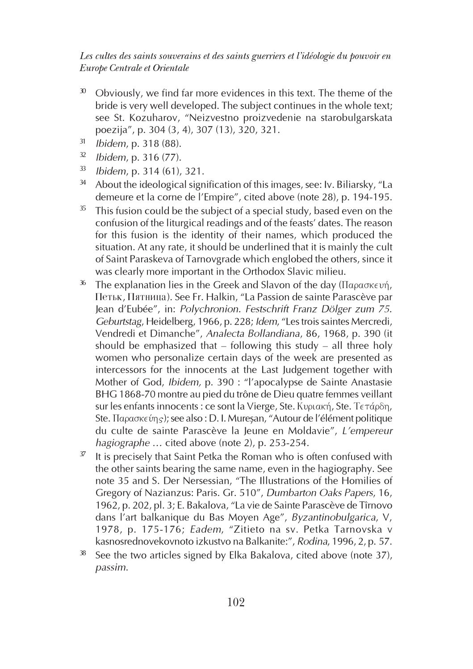- $30$  Obviously, we find far more evidences in this text. The theme of the bride is very well developed. The subject continues in the whole text; see St. Kozuharov, "Neizvestno proizvedenie na starobulgarskata poezija", p. 304 (3, 4), 307 (13), 320, 321.
- <sup>31</sup> Ibidem, p. 318 (88).
- $32$  Ibidem, p. 316 (77).
- $33$  Ibidem, p. 314 (61), 321.
- $34$  About the ideological signification of this images, see: Iv. Biliarsky, "La demeure et la corne de l'Empire", cited above (note 28), p. 194-195.
- $35$  This fusion could be the subject of a special study, based even on the confusion of the liturgical readings and of the feasts' dates. The reason for this fusion is the identity of their names, which produced the situation. At any rate, it should be underlined that it is mainly the cult of Saint Paraskeva of Tarnovgrade which englobed the others, since it was clearly more important in the Orthodox Slavic milieu.
- <sup>36</sup> The explanation lies in the Greek and Slavon of the day (Παρασκευή, Петьк, Пятница). See Fr. Halkin, "La Passion de sainte Parascève par Jean d'Eubée", in: Polychronion. Festschrift Franz Dölger zum 75. Geburtstag, Heidelberg, 1966, p. 228; Idem, "Les trois saintes Mercredi, Vendredi et Dimanche", Analecta Bollandiana, 86, 1968, p. 390 (it should be emphasized that  $-$  following this study  $-$  all three holy women who personalize certain days of the week are presented as intercessors for the innocents at the Last Judgement together with Mother of God, Ibidem, p. 390 : "l'apocalypse de Sainte Anastasie BHG 1868-70 montre au pied du trône de Dieu quatre femmes veillant sur les enfants innocents : ce sont la Vierge, Ste. Κυριακή, Ste. Τετάρδη, Ste. Παρασκεύης); see also : D. I. Mureşan, "Autour de l'élément politique du culte de sainte Parascève la Jeune en Moldavie", L'empereur hagiographe … cited above (note 2), p. 253-254.
- It is precisely that Saint Petka the Roman who is often confused with the other saints bearing the same name, even in the hagiography. See note 35 and S. Der Nersessian, "The Illustrations of the Homilies of Gregory of Nazianzus: Paris. Gr. 510", Dumbarton Oaks Papers, 16, 1962, p. 202, pl. 3; E. Bakalova, "La vie de Sainte Parascève de Tîrnovo dans l'art balkanique du Bas Moyen Age", Byzantinobulgarica, V, 1978, p. 175-176; Eadem, "Zitieto na sv. Petka Tarnovska v kasnosrednovekovnoto izkustvo na Balkanite:", Rodina, 1996, 2, p. 57.
- See the two articles signed by Elka Bakalova, cited above (note 37), passim.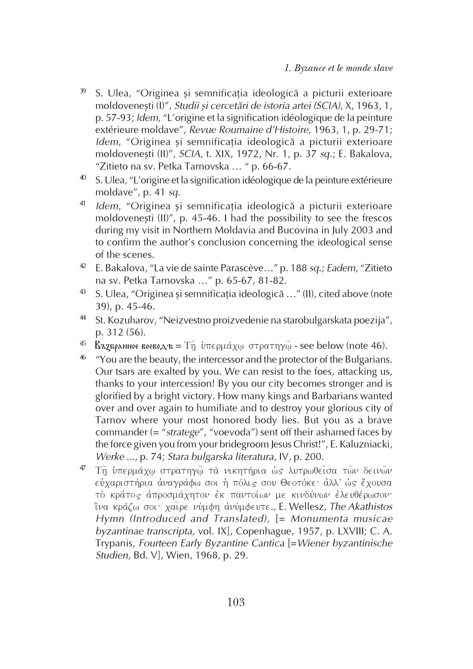- 39 S. Ulea, "Originea și semnificația ideologică a picturii exterioare moldovenești (I)", Studii și cercetări de istoria artei (SCIA), X, 1963, 1, p. 57-93; Idem, "L'origine et la signification idéologique de la peinture extérieure moldave", Revue Roumaine d'Histoire, 1963, 1, p. 29-71; Idem, "Originea și semnificația ideologică a picturii exterioare moldoveneşti (II)", SCIA, t. XIX, 1972, Nr. 1, p. 37 sq.; E. Bakalova, "Zitieto na sv. Petka Tarnovska … " p. 66-67.
- <sup>40</sup> S. Ulea, "L'origine et la signification idéologique de la peinture extérieure moldave", p. 41 sq.
- <sup>41</sup> Idem, "Originea și semnificația ideologică a picturii exterioare moldovenesti (II)", p. 45-46. I had the possibility to see the frescos during my visit in Northern Moldavia and Bucovina in July 2003 and to confirm the author's conclusion concerning the ideological sense of the scenes.
- <sup>42</sup> E. Bakalova, "La vie de sainte Parascève..." p. 188 sq.; Eadem, "Zitieto na sv. Petka Tarnovska …" p. 65-67, 81-82.
- $43$  S. Ulea, "Originea si semnificatia ideologică ..." (II), cited above (note 39), p. 45-46.
- <sup>44</sup> St. Kozuharov, "Neizvestno proizvedenie na starobulgarskata poezija", p. 312 (56).
- <sup>45</sup> **ΔΣΣΕΡΑΝΗΝΟΕ ΒΟΕΒΟΔΈΣ** = Τη υπερμάχω στρατηγώ see below (note 46).
- <sup>46</sup> "You are the beauty, the intercessor and the protector of the Bulgarians. Our tsars are exalted by you. We can resist to the foes, attacking us, thanks to your intercession! By you our city becomes stronger and is glorified by a bright victory. How many kings and Barbarians wanted over and over again to humiliate and to destroy your glorious city of Tarnov where your most honored body lies. But you as a brave commander  $(=$  "stratege", "voevoda") sent off their ashamed faces by the force given you from your bridegroom Jesus Christ!", E. Kaluzniacki, Werke ..., p. 74; Stara bulgarska literatura, IV, p. 200.
- 47 Τη υπερμάχω στρατηγώ τα νικητήρια ως λυτρωθείσα των δεινών εύχαριστήρια άναγράφω σοι ή πόλις σου Θεοτόκε· άλλ' ώς έχουσα τὸ κράτος ἀπροσμάχητον ἐκ παντοίων με κινδύνων ἐλευθέρωσον· ίνα κράζω σοι· χαίρε νύμφη ανύμφευτε., E. Wellesz, The Akathistos Hymn (Introduced and Translated), [= Monumenta musicae byzantinae transcripta, vol. IX], Copenhague, 1957, p. LXVIII; C. A. Trypanis, Fourteen Early Byzantine Cantica [=Wiener byzantinische Studien, Bd. V], Wien, 1968, p. 29.